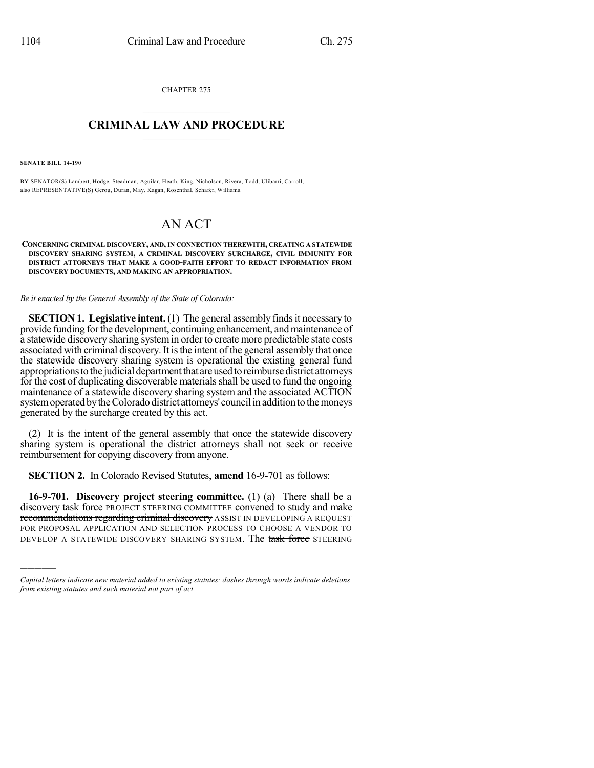CHAPTER 275  $\overline{\phantom{a}}$  . The set of the set of the set of the set of the set of the set of the set of the set of the set of the set of the set of the set of the set of the set of the set of the set of the set of the set of the set o

## **CRIMINAL LAW AND PROCEDURE**  $\frac{1}{2}$  ,  $\frac{1}{2}$  ,  $\frac{1}{2}$  ,  $\frac{1}{2}$  ,  $\frac{1}{2}$  ,  $\frac{1}{2}$  ,  $\frac{1}{2}$

**SENATE BILL 14-190**

)))))

BY SENATOR(S) Lambert, Hodge, Steadman, Aguilar, Heath, King, Nicholson, Rivera, Todd, Ulibarri, Carroll; also REPRESENTATIVE(S) Gerou, Duran, May, Kagan, Rosenthal, Schafer, Williams.

## AN ACT

**CONCERNING CRIMINAL DISCOVERY, AND,IN CONNECTION THEREWITH, CREATING A STATEWIDE DISCOVERY SHARING SYSTEM, A CRIMINAL DISCOVERY SURCHARGE, CIVIL IMMUNITY FOR DISTRICT ATTORNEYS THAT MAKE A GOOD-FAITH EFFORT TO REDACT INFORMATION FROM DISCOVERY DOCUMENTS, AND MAKING AN APPROPRIATION.**

*Be it enacted by the General Assembly of the State of Colorado:*

**SECTION 1. Legislative intent.** (1) The general assembly finds it necessary to provide funding for the development, continuing enhancement, and maintenance of a statewide discovery sharing systemin order to create more predictable state costs associated with criminal discovery.It isthe intent of the general assembly that once the statewide discovery sharing system is operational the existing general fund appropriationstothe judicial departmentthat areusedtoreimbursedistrict attorneys for the cost of duplicating discoverable materials shall be used to fund the ongoing maintenance of a statewide discovery sharing system and the associated ACTION system operated by the Colorado district attorneys' council in addition to the moneys generated by the surcharge created by this act.

(2) It is the intent of the general assembly that once the statewide discovery sharing system is operational the district attorneys shall not seek or receive reimbursement for copying discovery from anyone.

**SECTION 2.** In Colorado Revised Statutes, **amend** 16-9-701 as follows:

**16-9-701. Discovery project steering committee.** (1) (a) There shall be a discovery task force PROJECT STEERING COMMITTEE convened to study and make recommendations regarding criminal discovery ASSIST IN DEVELOPING A REQUEST FOR PROPOSAL APPLICATION AND SELECTION PROCESS TO CHOOSE A VENDOR TO DEVELOP A STATEWIDE DISCOVERY SHARING SYSTEM. The task force STEERING

*Capital letters indicate new material added to existing statutes; dashes through words indicate deletions from existing statutes and such material not part of act.*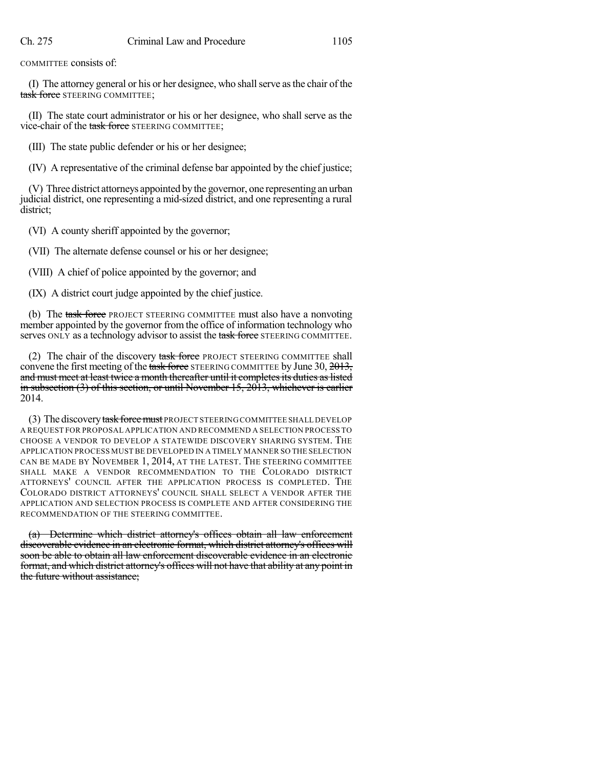COMMITTEE consists of:

(I) The attorney general or his or her designee, who shallserve asthe chair of the task force STEERING COMMITTEE;

(II) The state court administrator or his or her designee, who shall serve as the vice-chair of the task force STEERING COMMITTEE;

(III) The state public defender or his or her designee;

(IV) A representative of the criminal defense bar appointed by the chief justice;

(V) Three district attorneys appointed bythe governor, one representing an urban judicial district, one representing a mid-sized district, and one representing a rural district;

(VI) A county sheriff appointed by the governor;

(VII) The alternate defense counsel or his or her designee;

(VIII) A chief of police appointed by the governor; and

(IX) A district court judge appointed by the chief justice.

(b) The task force PROJECT STEERING COMMITTEE must also have a nonvoting member appointed by the governor from the office of information technology who serves ONLY as a technology advisor to assist the task force STEERING COMMITTEE.

(2) The chair of the discovery task force PROJECT STEERING COMMITTEE shall convene the first meeting of the task force STEERING COMMITTEE by June 30, 2013, and must meet at least twice a month thereafter until it completes its duties as listed in subsection  $(3)$  of this section, or until November 15, 2013, whichever is earlier 2014.

(3) The discovery task force must PROJECT STEERING COMMITTEE SHALL DEVELOP A REQUEST FOR PROPOSAL APPLICATION AND RECOMMEND A SELECTION PROCESS TO CHOOSE A VENDOR TO DEVELOP A STATEWIDE DISCOVERY SHARING SYSTEM. THE APPLICATION PROCESS MUST BE DEVELOPED IN A TIMELY MANNER SO THE SELECTION CAN BE MADE BY NOVEMBER 1, 2014, AT THE LATEST. THE STEERING COMMITTEE SHALL MAKE A VENDOR RECOMMENDATION TO THE COLORADO DISTRICT ATTORNEYS' COUNCIL AFTER THE APPLICATION PROCESS IS COMPLETED. THE COLORADO DISTRICT ATTORNEYS' COUNCIL SHALL SELECT A VENDOR AFTER THE APPLICATION AND SELECTION PROCESS IS COMPLETE AND AFTER CONSIDERING THE RECOMMENDATION OF THE STEERING COMMITTEE.

(a) Determine which district attorney's offices obtain all law enforcement discoverable evidence in an electronic format, which district attorney's offices will soon be able to obtain all law enforcement discoverable evidence in an electronic format, and which district attorney's offices will not have that ability at any point in the future without assistance;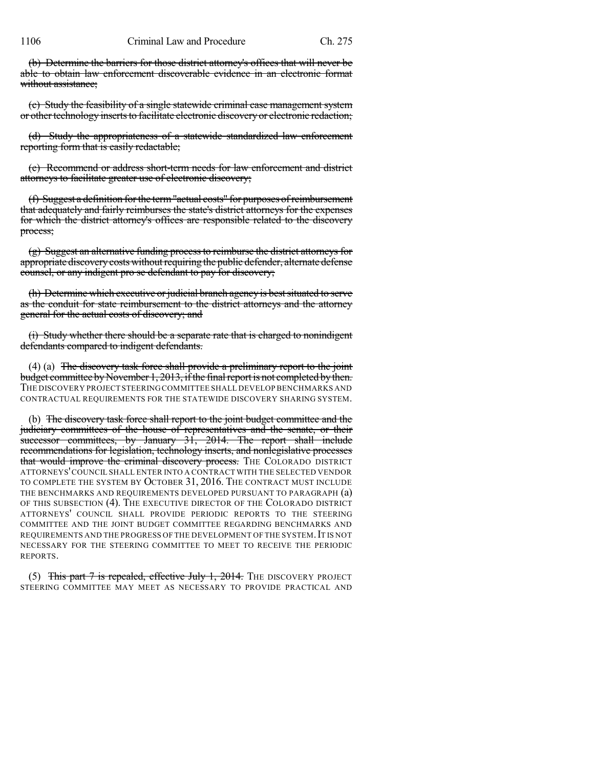1106 Criminal Law and Procedure Ch. 275

(b) Determine the barriers for those district attorney's offices that will never be able to obtain law enforcement discoverable evidence in an electronic format without assistance:

(c) Study the feasibility of a single statewide criminal case management system or other technology inserts to facilitate electronic discovery or electronic redaction;

(d) Study the appropriateness of a statewide standardized law enforcement reporting form that is easily redactable;

(e) Recommend or address short-term needs for law enforcement and district attorneys to facilitate greater use of electronic discovery;

(f) Suggest a definition forthe term"actual costs" for purposes ofreimbursement that adequately and fairly reimburses the state's district attorneys for the expenses for which the district attorney's offices are responsible related to the discovery process;

(g) Suggest an alternative funding processto reimburse the district attorneys for appropriate discovery costs without requiring the public defender, alternate defense counsel, or any indigent pro se defendant to pay for discovery;

(h) Determine which executive or judicial branch agency is best situated to serve as the conduit for state reimbursement to the district attorneys and the attorney general for the actual costs of discovery; and

(i) Study whether there should be a separate rate that is charged to nonindigent defendants compared to indigent defendants.

(4) (a) The discovery task force shall provide a preliminary report to the joint budget committee by November 1, 2013, if the final report is not completed by then. THE DISCOVERY PROJECT STEERINGCOMMITTEE SHALL DEVELOP BENCHMARKS AND CONTRACTUAL REQUIREMENTS FOR THE STATEWIDE DISCOVERY SHARING SYSTEM.

(b) The discovery task force shall report to the joint budget committee and the judiciary committees of the house of representatives and the senate, or their successor committees, by January 31, 2014. The report shall include recommendations for legislation, technology inserts, and nonlegislative processes that would improve the criminal discovery process. THE COLORADO DISTRICT ATTORNEYS'COUNCIL SHALL ENTER INTO A CONTRACT WITH THE SELECTED VENDOR TO COMPLETE THE SYSTEM BY OCTOBER 31, 2016. THE CONTRACT MUST INCLUDE THE BENCHMARKS AND REQUIREMENTS DEVELOPED PURSUANT TO PARAGRAPH (a) OF THIS SUBSECTION (4). THE EXECUTIVE DIRECTOR OF THE COLORADO DISTRICT ATTORNEYS' COUNCIL SHALL PROVIDE PERIODIC REPORTS TO THE STEERING COMMITTEE AND THE JOINT BUDGET COMMITTEE REGARDING BENCHMARKS AND REQUIREMENTS AND THE PROGRESS OF THE DEVELOPMENT OF THE SYSTEM. IT IS NOT NECESSARY FOR THE STEERING COMMITTEE TO MEET TO RECEIVE THE PERIODIC REPORTS.

(5) This part 7 is repealed, effective July 1, 2014. The DISCOVERY PROJECT STEERING COMMITTEE MAY MEET AS NECESSARY TO PROVIDE PRACTICAL AND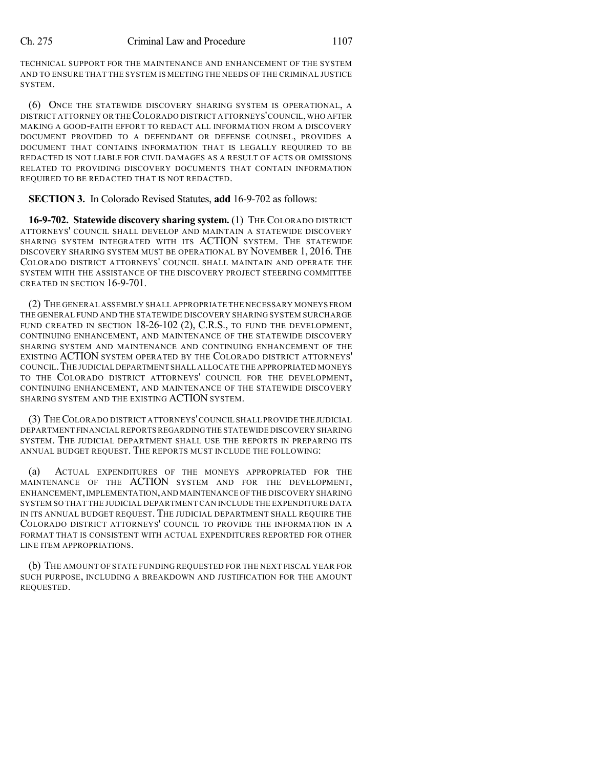TECHNICAL SUPPORT FOR THE MAINTENANCE AND ENHANCEMENT OF THE SYSTEM AND TO ENSURE THAT THE SYSTEM IS MEETING THE NEEDS OF THE CRIMINAL JUSTICE SYSTEM.

(6) ONCE THE STATEWIDE DISCOVERY SHARING SYSTEM IS OPERATIONAL, A DISTRICT ATTORNEY OR THECOLORADO DISTRICT ATTORNEYS'COUNCIL,WHO AFTER MAKING A GOOD-FAITH EFFORT TO REDACT ALL INFORMATION FROM A DISCOVERY DOCUMENT PROVIDED TO A DEFENDANT OR DEFENSE COUNSEL, PROVIDES A DOCUMENT THAT CONTAINS INFORMATION THAT IS LEGALLY REQUIRED TO BE REDACTED IS NOT LIABLE FOR CIVIL DAMAGES AS A RESULT OF ACTS OR OMISSIONS RELATED TO PROVIDING DISCOVERY DOCUMENTS THAT CONTAIN INFORMATION REQUIRED TO BE REDACTED THAT IS NOT REDACTED.

## **SECTION 3.** In Colorado Revised Statutes, **add** 16-9-702 as follows:

**16-9-702. Statewide discovery sharing system.** (1) THE COLORADO DISTRICT ATTORNEYS' COUNCIL SHALL DEVELOP AND MAINTAIN A STATEWIDE DISCOVERY SHARING SYSTEM INTEGRATED WITH ITS ACTION SYSTEM. THE STATEWIDE DISCOVERY SHARING SYSTEM MUST BE OPERATIONAL BY NOVEMBER 1, 2016. THE COLORADO DISTRICT ATTORNEYS' COUNCIL SHALL MAINTAIN AND OPERATE THE SYSTEM WITH THE ASSISTANCE OF THE DISCOVERY PROJECT STEERING COMMITTEE CREATED IN SECTION 16-9-701.

(2) THE GENERAL ASSEMBLY SHALL APPROPRIATE THE NECESSARY MONEYS FROM THE GENERAL FUND AND THE STATEWIDE DISCOVERY SHARING SYSTEM SURCHARGE FUND CREATED IN SECTION 18-26-102 (2), C.R.S., TO FUND THE DEVELOPMENT, CONTINUING ENHANCEMENT, AND MAINTENANCE OF THE STATEWIDE DISCOVERY SHARING SYSTEM AND MAINTENANCE AND CONTINUING ENHANCEMENT OF THE EXISTING ACTION SYSTEM OPERATED BY THE COLORADO DISTRICT ATTORNEYS' COUNCIL.THE JUDICIAL DEPARTMENT SHALL ALLOCATE THE APPROPRIATED MONEYS TO THE COLORADO DISTRICT ATTORNEYS' COUNCIL FOR THE DEVELOPMENT, CONTINUING ENHANCEMENT, AND MAINTENANCE OF THE STATEWIDE DISCOVERY SHARING SYSTEM AND THE EXISTING ACTION SYSTEM.

(3) THECOLORADO DISTRICT ATTORNEYS'COUNCIL SHALL PROVIDE THE JUDICIAL DEPARTMENT FINANCIAL REPORTS REGARDING THE STATEWIDE DISCOVERY SHARING SYSTEM. THE JUDICIAL DEPARTMENT SHALL USE THE REPORTS IN PREPARING ITS ANNUAL BUDGET REQUEST. THE REPORTS MUST INCLUDE THE FOLLOWING:

(a) ACTUAL EXPENDITURES OF THE MONEYS APPROPRIATED FOR THE MAINTENANCE OF THE ACTION SYSTEM AND FOR THE DEVELOPMENT, ENHANCEMENT,IMPLEMENTATION,AND MAINTENANCE OF THE DISCOVERY SHARING SYSTEM SO THAT THE JUDICIAL DEPARTMENT CAN INCLUDE THE EXPENDITURE DATA IN ITS ANNUAL BUDGET REQUEST. THE JUDICIAL DEPARTMENT SHALL REQUIRE THE COLORADO DISTRICT ATTORNEYS' COUNCIL TO PROVIDE THE INFORMATION IN A FORMAT THAT IS CONSISTENT WITH ACTUAL EXPENDITURES REPORTED FOR OTHER LINE ITEM APPROPRIATIONS.

(b) THE AMOUNT OF STATE FUNDING REQUESTED FOR THE NEXT FISCAL YEAR FOR SUCH PURPOSE, INCLUDING A BREAKDOWN AND JUSTIFICATION FOR THE AMOUNT REQUESTED.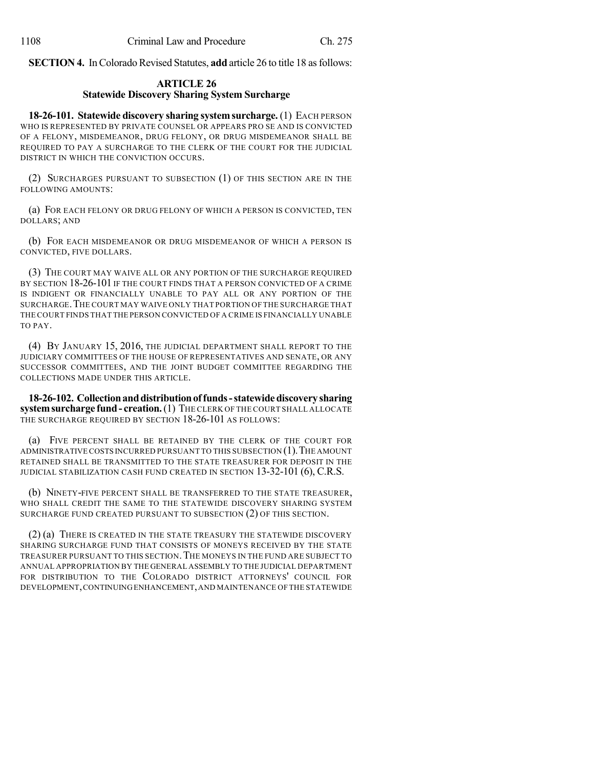**SECTION 4.** In Colorado Revised Statutes, **add** article 26 to title 18 as follows:

## **ARTICLE 26 Statewide Discovery Sharing System Surcharge**

**18-26-101. Statewide discovery sharing systemsurcharge.** (1) EACH PERSON WHO IS REPRESENTED BY PRIVATE COUNSEL OR APPEARS PRO SE AND IS CONVICTED OF A FELONY, MISDEMEANOR, DRUG FELONY, OR DRUG MISDEMEANOR SHALL BE REQUIRED TO PAY A SURCHARGE TO THE CLERK OF THE COURT FOR THE JUDICIAL DISTRICT IN WHICH THE CONVICTION OCCURS.

(2) SURCHARGES PURSUANT TO SUBSECTION (1) OF THIS SECTION ARE IN THE FOLLOWING AMOUNTS:

(a) FOR EACH FELONY OR DRUG FELONY OF WHICH A PERSON IS CONVICTED, TEN DOLLARS; AND

(b) FOR EACH MISDEMEANOR OR DRUG MISDEMEANOR OF WHICH A PERSON IS CONVICTED, FIVE DOLLARS.

(3) THE COURT MAY WAIVE ALL OR ANY PORTION OF THE SURCHARGE REQUIRED BY SECTION  $18-26-101$  If the COURT FINDS THAT A PERSON CONVICTED OF A CRIME IS INDIGENT OR FINANCIALLY UNABLE TO PAY ALL OR ANY PORTION OF THE SURCHARGE.THE COURT MAY WAIVE ONLY THAT PORTION OF THE SURCHARGE THAT THE COURT FINDS THAT THE PERSON CONVICTED OFA CRIME IS FINANCIALLY UNABLE TO PAY.

(4) BY JANUARY 15, 2016, THE JUDICIAL DEPARTMENT SHALL REPORT TO THE JUDICIARY COMMITTEES OF THE HOUSE OF REPRESENTATIVES AND SENATE, OR ANY SUCCESSOR COMMITTEES, AND THE JOINT BUDGET COMMITTEE REGARDING THE COLLECTIONS MADE UNDER THIS ARTICLE.

**18-26-102. Collectionanddistributionoffunds-statewidediscoverysharing systemsurcharge fund- creation.**(1) THE CLERK OF THE COURT SHALL ALLOCATE THE SURCHARGE REQUIRED BY SECTION 18-26-101 AS FOLLOWS:

(a) FIVE PERCENT SHALL BE RETAINED BY THE CLERK OF THE COURT FOR ADMINISTRATIVECOSTS INCURRED PURSUANT TO THIS SUBSECTION (1).THE AMOUNT RETAINED SHALL BE TRANSMITTED TO THE STATE TREASURER FOR DEPOSIT IN THE JUDICIAL STABILIZATION CASH FUND CREATED IN SECTION 13-32-101 (6), C.R.S.

(b) NINETY-FIVE PERCENT SHALL BE TRANSFERRED TO THE STATE TREASURER, WHO SHALL CREDIT THE SAME TO THE STATEWIDE DISCOVERY SHARING SYSTEM SURCHARGE FUND CREATED PURSUANT TO SUBSECTION (2) OF THIS SECTION.

(2) (a) THERE IS CREATED IN THE STATE TREASURY THE STATEWIDE DISCOVERY SHARING SURCHARGE FUND THAT CONSISTS OF MONEYS RECEIVED BY THE STATE TREASURER PURSUANT TO THIS SECTION.THE MONEYS IN THE FUND ARE SUBJECT TO ANNUAL APPROPRIATION BY THE GENERAL ASSEMBLY TO THE JUDICIAL DEPARTMENT FOR DISTRIBUTION TO THE COLORADO DISTRICT ATTORNEYS' COUNCIL FOR DEVELOPMENT,CONTINUINGENHANCEMENT,AND MAINTENANCE OFTHE STATEWIDE